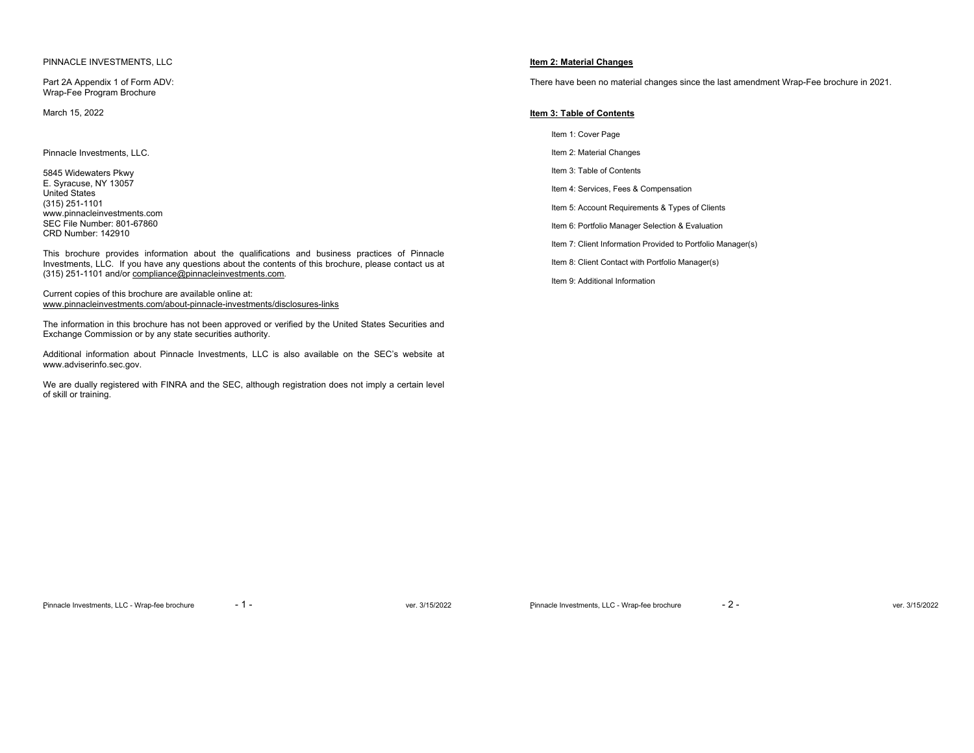## PINNACLE INVESTMENTS, LLC

Part 2A Appendix 1 of Form ADV: Wrap-Fee Program Brochure

March 15, 2022

Pinnacle Investments, LLC.

5845 Widewaters Pkwy E. Syracuse, NY 13057 United States (315) 251-1101 www.pinnacleinvestments.com SEC File Number: 801-67860 CRD Number: 142910

This brochure provides information about the qualifications and business practices of Pinnacle Investments, LLC. If you have any questions about the contents of this brochure, please contact us at (315) 251-1101 and/or compliance@pinnacleinvestments.com.

Current copies of this brochure are available online at: www.pinnacleinvestments.com/about-pinnacle-investments/disclosures-links

The information in this brochure has not been approved or verified by the United States Securities and Exchange Commission or by any state securities authority.

Additional information about Pinnacle Investments, LLC is also available on the SEC's website at www.adviserinfo.sec.gov.

We are dually registered with FINRA and the SEC, although registration does not imply a certain level of skill or training.

# **Item 2: Material Changes**

There have been no material changes since the last amendment Wrap-Fee brochure in 2021.

### **Item 3: Table of Contents**

Item 1: Cover Page Item 2: Material Changes Item 3: Table of Contents Item 4: Services, Fees & Compensation Item 5: Account Requirements & Types of Clients Item 6: Portfolio Manager Selection & Evaluation

Item 7: Client Information Provided to Portfolio Manager(s)

Item 8: Client Contact with Portfolio Manager(s)

Item 9: Additional Information

Pinnacle Investments, LLC - Wrap-fee brochure - 1 - ver. 3/15/2022

Pinnacle Investments, LLC - Wrap-fee brochure - 2 - ver. 3/15/2022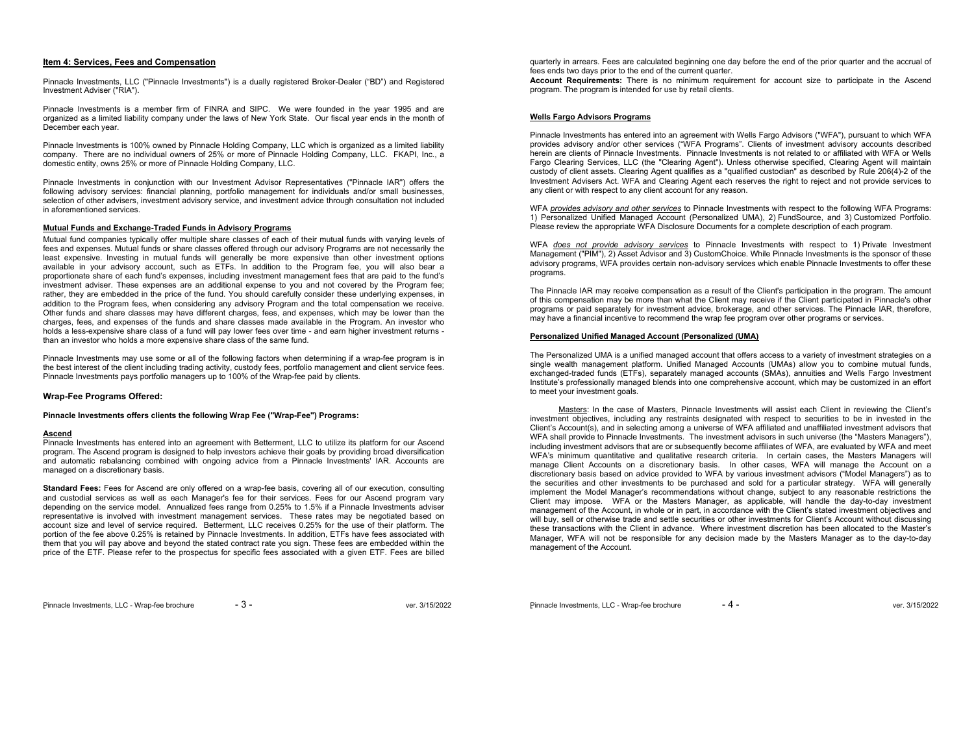# **Item 4: Services, Fees and Compensation**

Pinnacle Investments, LLC ("Pinnacle Investments") is a dually registered Broker-Dealer ("BD") and Registered Investment Adviser ("RIA").

Pinnacle Investments is a member firm of FINRA and SIPC. We were founded in the year 1995 and are organized as a limited liability company under the laws of New York State. Our fiscal year ends in the month of December each year.

Pinnacle Investments is 100% owned by Pinnacle Holding Company, LLC which is organized as a limited liability company. There are no individual owners of 25% or more of Pinnacle Holding Company, LLC. FKAPI, Inc., a domestic entity, owns 25% or more of Pinnacle Holding Company, LLC.

Pinnacle Investments in conjunction with our Investment Advisor Representatives ("Pinnacle IAR") offers the following advisory services: financial planning, portfolio management for individuals and/or small businesses, selection of other advisers, investment advisory service, and investment advice through consultation not included in aforementioned services.

#### **Mutual Funds and Exchange-Traded Funds in Advisory Programs**

Mutual fund companies typically offer multiple share classes of each of their mutual funds with varying levels of fees and expenses. Mutual funds or share classes offered through our advisory Programs are not necessarily the least expensive. Investing in mutual funds will generally be more expensive than other investment options available in your advisory account, such as ETFs. In addition to the Program fee, you will also bear a proportionate share of each fund's expenses, including investment management fees that are paid to the fund's investment adviser. These expenses are an additional expense to you and not covered by the Program fee; rather, they are embedded in the price of the fund. You should carefully consider these underlying expenses, in addition to the Program fees, when considering any advisory Program and the total compensation we receive. Other funds and share classes may have different charges, fees, and expenses, which may be lower than the charges, fees, and expenses of the funds and share classes made available in the Program. An investor who holds a less-expensive share class of a fund will pay lower fees over time - and earn higher investment returns than an investor who holds a more expensive share class of the same fund.

Pinnacle Investments may use some or all of the following factors when determining if a wrap-fee program is in the best interest of the client including trading activity, custody fees, portfolio management and client service fees. Pinnacle Investments pays portfolio managers up to 100% of the Wrap-fee paid by clients.

### **Wrap-Fee Programs Offered:**

### **Pinnacle Investments offers clients the following Wrap Fee ("Wrap-Fee") Programs:**

#### **Ascend**

 Pinnacle Investments has entered into an agreement with Betterment, LLC to utilize its platform for our Ascend program. The Ascend program is designed to help investors achieve their goals by providing broad diversification and automatic rebalancing combined with ongoing advice from a Pinnacle Investments' IAR. Accounts are managed on a discretionary basis.

**Standard Fees:** Fees for Ascend are only offered on a wrap-fee basis, covering all of our execution, consulting and custodial services as well as each Manager's fee for their services. Fees for our Ascend program vary depending on the service model. Annualized fees range from 0.25% to 1.5% if a Pinnacle Investments adviser representative is involved with investment management services. These rates may be negotiated based on account size and level of service required. Betterment, LLC receives 0.25% for the use of their platform. The portion of the fee above 0.25% is retained by Pinnacle Investments. In addition, ETFs have fees associated with them that you will pay above and beyond the stated contract rate you sign. These fees are embedded within the price of the ETF. Please refer to the prospectus for specific fees associated with a given ETF. Fees are billed quarterly in arrears. Fees are calculated beginning one day before the end of the prior quarter and the accrual of fees ends two days prior to the end of the current quarter.

**Account Requirements:** There is no minimum requirement for account size to participate in the Ascend program. The program is intended for use by retail clients.

# **Wells Fargo Advisors Programs**

Pinnacle Investments has entered into an agreement with Wells Fargo Advisors ("WFA"), pursuant to which WFA provides advisory and/or other services ("WFA Programs". Clients of investment advisory accounts described herein are clients of Pinnacle Investments. Pinnacle Investments is not related to or affiliated with WFA or Wells Fargo Clearing Services, LLC (the "Clearing Agent"). Unless otherwise specified, Clearing Agent will maintain custody of client assets. Clearing Agent qualifies as a "qualified custodian" as described by Rule 206(4)-2 of the Investment Advisers Act. WFA and Clearing Agent each reserves the right to reject and not provide services to any client or with respect to any client account for any reason.

WFA *provides advisory and other services* to Pinnacle Investments with respect to the following WFA Programs: 1) Personalized Unified Managed Account (Personalized UMA), 2) FundSource, and 3) Customized Portfolio. Please review the appropriate WFA Disclosure Documents for a complete description of each program.

WFA *does not provide advisory services* to Pinnacle Investments with respect to 1) Private Investment Management ("PIM"), 2) Asset Advisor and 3) CustomChoice. While Pinnacle Investments is the sponsor of these advisory programs, WFA provides certain non-advisory services which enable Pinnacle Investments to offer these programs.

The Pinnacle IAR may receive compensation as a result of the Client's participation in the program. The amount of this compensation may be more than what the Client may receive if the Client participated in Pinnacle's other programs or paid separately for investment advice, brokerage, and other services. The Pinnacle IAR, therefore, may have a financial incentive to recommend the wrap fee program over other programs or services.

### **Personalized Unified Managed Account (Personalized (UMA)**

The Personalized UMA is a unified managed account that offers access to a variety of investment strategies on a single wealth management platform. Unified Managed Accounts (UMAs) allow you to combine mutual funds, exchanged-traded funds (ETFs), separately managed accounts (SMAs), annuities and Wells Fargo Investment Institute's professionally managed blends into one comprehensive account, which may be customized in an effort to meet your investment goals.

 Masters: In the case of Masters, Pinnacle Investments will assist each Client in reviewing the Client's investment objectives, including any restraints designated with respect to securities to be in invested in the Client's Account(s), and in selecting among a universe of WFA affiliated and unaffiliated investment advisors that WFA shall provide to Pinnacle Investments. The investment advisors in such universe (the "Masters Managers"), including investment advisors that are or subsequently become affiliates of WFA, are evaluated by WFA and meet WFA's minimum quantitative and qualitative research criteria. In certain cases, the Masters Managers will manage Client Accounts on a discretionary basis. In other cases, WFA will manage the Account on a discretionary basis based on advice provided to WFA by various investment advisors ("Model Managers") as to the securities and other investments to be purchased and sold for a particular strategy. WFA will generally implement the Model Manager's recommendations without change, subject to any reasonable restrictions the Client may impose. WFA or the Masters Manager, as applicable, will handle the day-to-day investment management of the Account, in whole or in part, in accordance with the Client's stated investment objectives and will buy, sell or otherwise trade and settle securities or other investments for Client's Account without discussing these transactions with the Client in advance. Where investment discretion has been allocated to the Master's Manager, WFA will not be responsible for any decision made by the Masters Manager as to the day-to-day management of the Account.

Pinnacle Investments, LLC - Wrap-fee brochure - 4 - ver. 3/15/2022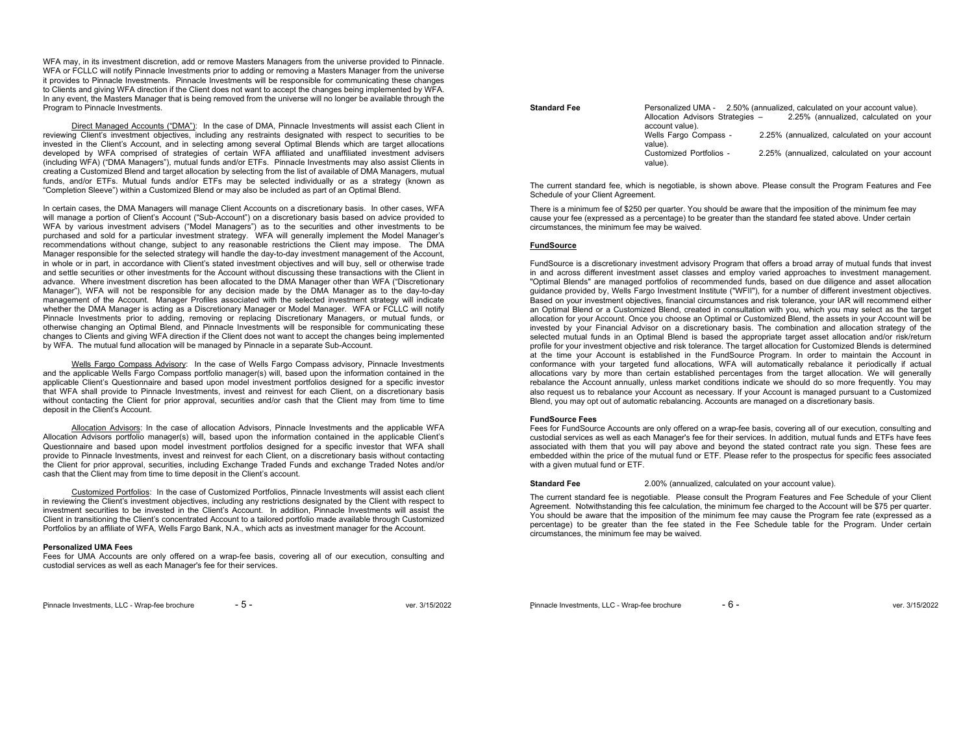WFA may, in its investment discretion, add or remove Masters Managers from the universe provided to Pinnacle. WFA or FCLLC will notify Pinnacle Investments prior to adding or removing a Masters Manager from the universe it provides to Pinnacle Investments. Pinnacle Investments will be responsible for communicating these changes to Clients and giving WFA direction if the Client does not want to accept the changes being implemented by WFA. In any event, the Masters Manager that is being removed from the universe will no longer be available through the Program to Pinnacle Investments.

 Direct Managed Accounts ("DMA"): In the case of DMA, Pinnacle Investments will assist each Client in reviewing Client's investment objectives, including any restraints designated with respect to securities to be invested in the Client's Account, and in selecting among several Optimal Blends which are target allocations developed by WFA comprised of strategies of certain WFA affiliated and unaffiliated investment advisers (including WFA) ("DMA Managers"), mutual funds and/or ETFs. Pinnacle Investments may also assist Clients in creating a Customized Blend and target allocation by selecting from the list of available of DMA Managers, mutual funds, and/or ETFs. Mutual funds and/or ETFs may be selected individually or as a strategy (known as "Completion Sleeve") within a Customized Blend or may also be included as part of an Optimal Blend.

In certain cases, the DMA Managers will manage Client Accounts on a discretionary basis. In other cases, WFA will manage a portion of Client's Account ("Sub-Account") on a discretionary basis based on advice provided to WFA by various investment advisers ("Model Managers") as to the securities and other investments to be purchased and sold for a particular investment strategy. WFA will generally implement the Model Manager's recommendations without change, subject to any reasonable restrictions the Client may impose. The DMA Manager responsible for the selected strategy will handle the day-to-day investment management of the Account, in whole or in part, in accordance with Client's stated investment objectives and will buy, sell or otherwise trade and settle securities or other investments for the Account without discussing these transactions with the Client in advance. Where investment discretion has been allocated to the DMA Manager other than WFA ("Discretionary Manager"), WFA will not be responsible for any decision made by the DMA Manager as to the day-to-day management of the Account. Manager Profiles associated with the selected investment strategy will indicate whether the DMA Manager is acting as a Discretionary Manager or Model Manager. WFA or FCLLC will notify Pinnacle Investments prior to adding, removing or replacing Discretionary Managers, or mutual funds, or otherwise changing an Optimal Blend, and Pinnacle Investments will be responsible for communicating these changes to Clients and giving WFA direction if the Client does not want to accept the changes being implemented by WFA. The mutual fund allocation will be managed by Pinnacle in a separate Sub-Account.

Wells Fargo Compass Advisory: In the case of Wells Fargo Compass advisory, Pinnacle Investments and the applicable Wells Fargo Compass portfolio manager(s) will, based upon the information contained in the applicable Client's Questionnaire and based upon model investment portfolios designed for a specific investor that WFA shall provide to Pinnacle Investments, invest and reinvest for each Client, on a discretionary basis without contacting the Client for prior approval, securities and/or cash that the Client may from time to time deposit in the Client's Account.

 Allocation Advisors: In the case of allocation Advisors, Pinnacle Investments and the applicable WFA Allocation Advisors portfolio manager(s) will, based upon the information contained in the applicable Client's Questionnaire and based upon model investment portfolios designed for a specific investor that WFA shall provide to Pinnacle Investments, invest and reinvest for each Client, on a discretionary basis without contacting the Client for prior approval, securities, including Exchange Traded Funds and exchange Traded Notes and/or cash that the Client may from time to time deposit in the Client's account.

 Customized Portfolios: In the case of Customized Portfolios, Pinnacle Investments will assist each client in reviewing the Client's investment objectives, including any restrictions designated by the Client with respect to investment securities to be invested in the Client's Account. In addition, Pinnacle Investments will assist the Client in transitioning the Client's concentrated Account to a tailored portfolio made available through Customized Portfolios by an affiliate of WFA, Wells Fargo Bank, N.A., which acts as investment manager for the Account.

#### **Personalized UMA Fees**

 Fees for UMA Accounts are only offered on a wrap-fee basis, covering all of our execution, consulting and custodial services as well as each Manager's fee for their services.

| <b>Standard Fee</b> | Personalized UMA - 2.50% (annualized, calculated on your account value).            |
|---------------------|-------------------------------------------------------------------------------------|
|                     | 2.25% (annualized, calculated on your<br>Allocation Advisors Strategies -           |
|                     | account value).                                                                     |
|                     | 2.25% (annualized, calculated on your account<br>Wells Fargo Compass -<br>value).   |
|                     | Customized Portfolios -<br>2.25% (annualized, calculated on your account<br>value). |

The current standard fee, which is negotiable, is shown above. Please consult the Program Features and Fee Schedule of your Client Agreement.

There is a minimum fee of \$250 per quarter. You should be aware that the imposition of the minimum fee may cause your fee (expressed as a percentage) to be greater than the standard fee stated above. Under certain circumstances, the minimum fee may be waived.

### **FundSource**

FundSource is a discretionary investment advisory Program that offers a broad array of mutual funds that invest in and across different investment asset classes and employ varied approaches to investment management. "Optimal Blends" are managed portfolios of recommended funds, based on due diligence and asset allocation guidance provided by, Wells Fargo Investment Institute ("WFII"), for a number of different investment objectives. Based on your investment objectives, financial circumstances and risk tolerance, your IAR will recommend either an Optimal Blend or a Customized Blend, created in consultation with you, which you may select as the target allocation for your Account. Once you choose an Optimal or Customized Blend, the assets in your Account will be invested by your Financial Advisor on a discretionary basis. The combination and allocation strategy of the selected mutual funds in an Optimal Blend is based the appropriate target asset allocation and/or risk/return profile for your investment objective and risk tolerance. The target allocation for Customized Blends is determined at the time your Account is established in the FundSource Program. In order to maintain the Account in conformance with your targeted fund allocations, WFA will automatically rebalance it periodically if actual allocations vary by more than certain established percentages from the target allocation. We will generally rebalance the Account annually, unless market conditions indicate we should do so more frequently. You may also request us to rebalance your Account as necessary. If your Account is managed pursuant to a Customized Blend, you may opt out of automatic rebalancing. Accounts are managed on a discretionary basis.

### **FundSource Fees**

Fees for FundSource Accounts are only offered on a wrap-fee basis, covering all of our execution, consulting and custodial services as well as each Manager's fee for their services. In addition, mutual funds and ETFs have fees associated with them that you will pay above and beyond the stated contract rate you sign. These fees are embedded within the price of the mutual fund or ETF. Please refer to the prospectus for specific fees associated with a given mutual fund or ETF.

**Standard Fee** 2.00% (annualized, calculated on your account value).

The current standard fee is negotiable. Please consult the Program Features and Fee Schedule of your Client Agreement. Notwithstanding this fee calculation, the minimum fee charged to the Account will be \$75 per quarter. You should be aware that the imposition of the minimum fee may cause the Program fee rate (expressed as a percentage) to be greater than the fee stated in the Fee Schedule table for the Program. Under certain circumstances, the minimum fee may be waived.

Pinnacle Investments, LLC - Wrap-fee brochure  $-5$  - ver. 3/15/2022

Pinnacle Investments, LLC - Wrap-fee brochure - 6 - ver. 3/15/2022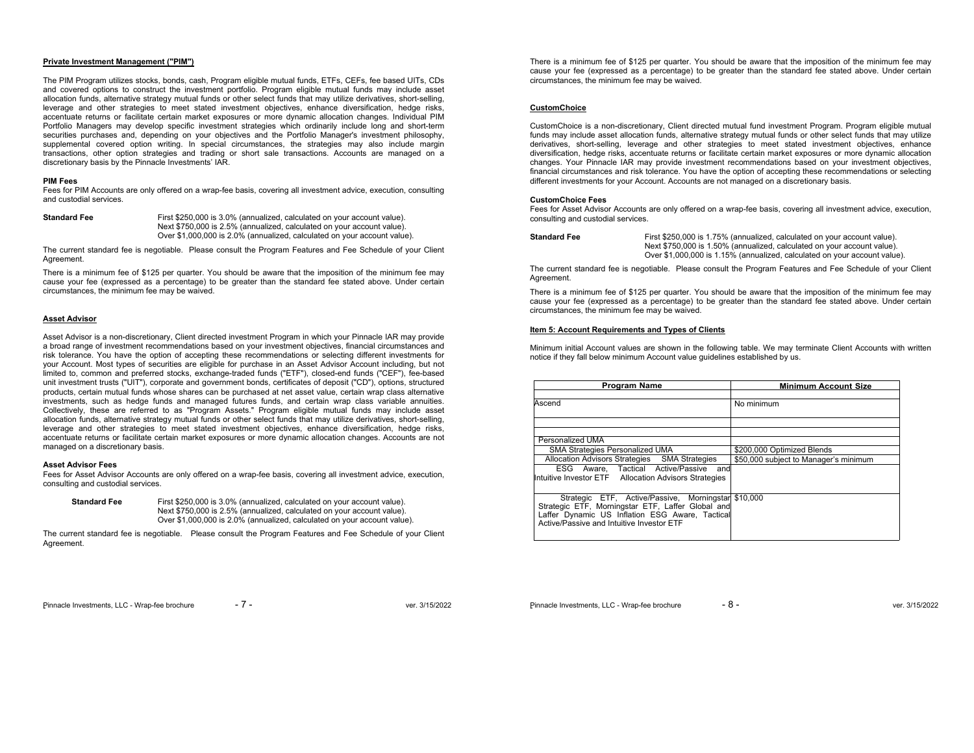## **Private Investment Management ("PIM")**

The PIM Program utilizes stocks, bonds, cash, Program eligible mutual funds, ETFs, CEFs, fee based UITs, CDs and covered options to construct the investment portfolio. Program eligible mutual funds may include asset allocation funds, alternative strategy mutual funds or other select funds that may utilize derivatives, short-selling, leverage and other strategies to meet stated investment objectives, enhance diversification, hedge risks, accentuate returns or facilitate certain market exposures or more dynamic allocation changes. Individual PIM Portfolio Managers may develop specific investment strategies which ordinarily include long and short-term securities purchases and, depending on your objectives and the Portfolio Manager's investment philosophy, supplemental covered option writing. In special circumstances, the strategies may also include margin transactions, other option strategies and trading or short sale transactions. Accounts are managed on a discretionary basis by the Pinnacle Investments' IAR.

## **PIM Fees**

 Fees for PIM Accounts are only offered on a wrap-fee basis, covering all investment advice, execution, consulting and custodial services.

**Standard Fee** First \$250,000 is 3.0% (annualized, calculated on your account value). Next \$750,000 is 2.5% (annualized, calculated on your account value). Over \$1,000,000 is 2.0% (annualized, calculated on your account value).

The current standard fee is negotiable. Please consult the Program Features and Fee Schedule of your Client Agreement.

There is a minimum fee of \$125 per quarter. You should be aware that the imposition of the minimum fee may cause your fee (expressed as a percentage) to be greater than the standard fee stated above. Under certain circumstances, the minimum fee may be waived.

## **Asset Advisor**

Asset Advisor is a non-discretionary, Client directed investment Program in which your Pinnacle IAR may provide a broad range of investment recommendations based on your investment objectives, financial circumstances and risk tolerance. You have the option of accepting these recommendations or selecting different investments for your Account. Most types of securities are eligible for purchase in an Asset Advisor Account including, but not limited to, common and preferred stocks, exchange-traded funds ("ETF"), closed-end funds ("CEF"), fee-based unit investment trusts ("UIT"), corporate and government bonds, certificates of deposit ("CD"), options, structured products, certain mutual funds whose shares can be purchased at net asset value, certain wrap class alternative investments, such as hedge funds and managed futures funds, and certain wrap class variable annuities. Collectively, these are referred to as "Program Assets." Program eligible mutual funds may include asset allocation funds, alternative strategy mutual funds or other select funds that may utilize derivatives, short-selling, leverage and other strategies to meet stated investment objectives, enhance diversification, hedge risks, accentuate returns or facilitate certain market exposures or more dynamic allocation changes. Accounts are not managed on a discretionary basis.

### **Asset Advisor Fees**

 Fees for Asset Advisor Accounts are only offered on a wrap-fee basis, covering all investment advice, execution, consulting and custodial services.

**Standard Fee** First \$250,000 is 3.0% (annualized, calculated on your account value). Next \$750,000 is 2.5% (annualized, calculated on your account value). Over \$1,000,000 is 2.0% (annualized, calculated on your account value).

The current standard fee is negotiable. Please consult the Program Features and Fee Schedule of your Client Agreement.

There is a minimum fee of \$125 per quarter. You should be aware that the imposition of the minimum fee may cause your fee (expressed as a percentage) to be greater than the standard fee stated above. Under certain circumstances, the minimum fee may be waived.

### **CustomChoice**

CustomChoice is a non-discretionary, Client directed mutual fund investment Program. Program eligible mutual funds may include asset allocation funds, alternative strategy mutual funds or other select funds that may utilize derivatives, short-selling, leverage and other strategies to meet stated investment objectives, enhance diversification, hedge risks, accentuate returns or facilitate certain market exposures or more dynamic allocation changes. Your Pinnacle IAR may provide investment recommendations based on your investment objectives, financial circumstances and risk tolerance. You have the option of accepting these recommendations or selecting different investments for your Account. Accounts are not managed on a discretionary basis.

### **CustomChoice Fees**

 Fees for Asset Advisor Accounts are only offered on a wrap-fee basis, covering all investment advice, execution, consulting and custodial services.

**Standard Fee** First \$250,000 is 1.75% (annualized, calculated on your account value). Next \$750,000 is 1.50% (annualized, calculated on your account value). Over \$1,000,000 is 1.15% (annualized, calculated on your account value).

The current standard fee is negotiable. Please consult the Program Features and Fee Schedule of your Client **Agreement** 

There is a minimum fee of \$125 per quarter. You should be aware that the imposition of the minimum fee may cause your fee (expressed as a percentage) to be greater than the standard fee stated above. Under certain circumstances, the minimum fee may be waived.

# **Item 5: Account Requirements and Types of Clients**

Minimum initial Account values are shown in the following table. We may terminate Client Accounts with written notice if they fall below minimum Account value guidelines established by us.

| <b>Program Name</b>                                                                                                                                                                                      | <b>Minimum Account Size</b>           |
|----------------------------------------------------------------------------------------------------------------------------------------------------------------------------------------------------------|---------------------------------------|
| Ascend                                                                                                                                                                                                   | No minimum                            |
|                                                                                                                                                                                                          |                                       |
| Personalized UMA                                                                                                                                                                                         |                                       |
| SMA Strategies Personalized UMA                                                                                                                                                                          | \$200,000 Optimized Blends            |
| Allocation Advisors Strategies SMA Strategies                                                                                                                                                            | \$50,000 subject to Manager's minimum |
| ESG Aware, Tactical Active/Passive and<br>Intuitive Investor ETF Allocation Advisors Strategies                                                                                                          |                                       |
| Strategic ETF, Active/Passive, Morningstar \$10,000<br>Strategic ETF, Morningstar ETF, Laffer Global and<br>Laffer Dynamic US Inflation ESG Aware, Tactical<br>Active/Passive and Intuitive Investor ETF |                                       |

Pinnacle Investments, LLC - Wrap-fee brochure - 7 - ver. 3/15/2022

Pinnacle Investments, LLC - Wrap-fee brochure - 8 - ver. 3/15/2022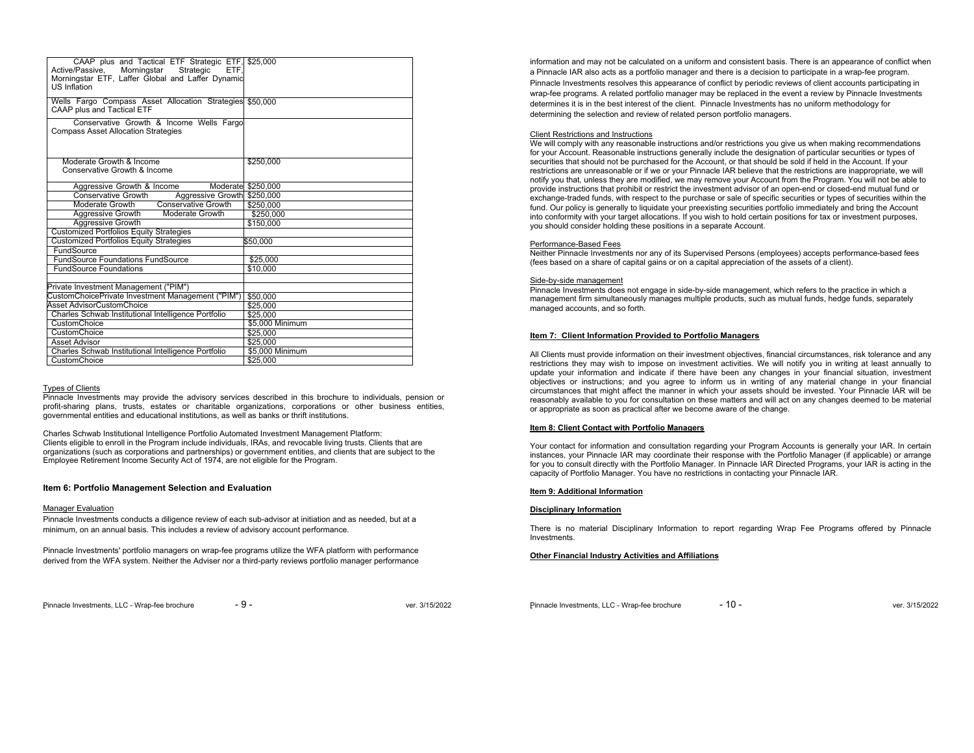| CAAP plus and Tactical ETF Strategic ETF, \$25,000<br>Active/Passive, Morningstar Strategic<br>ETF.<br>Morningstar ETF, Laffer Global and Laffer Dynamic<br><b>US Inflation</b> |                    |
|---------------------------------------------------------------------------------------------------------------------------------------------------------------------------------|--------------------|
| Wells Fargo Compass Asset Allocation Strategies \$50,000<br>CAAP plus and Tactical ETF                                                                                          |                    |
| Conservative Growth & Income Wells Fargo<br><b>Compass Asset Allocation Strategies</b>                                                                                          |                    |
| Moderate Growth & Income<br>Conservative Growth & Income                                                                                                                        | \$250.000          |
| Aggressive Growth & Income                                                                                                                                                      | Moderate \$250,000 |
| Aggressive Growth<br>Conservative Growth                                                                                                                                        | \$250,000          |
| <b>Conservative Growth</b><br>Moderate Growth                                                                                                                                   | \$250.000          |
| Aggressive Growth<br>Moderate Growth                                                                                                                                            | \$250.000          |
| Aggressive Growth                                                                                                                                                               | \$150,000          |
| <b>Customized Portfolios Equity Strategies</b>                                                                                                                                  |                    |
| <b>Customized Portfolios Equity Strategies</b>                                                                                                                                  | \$50.000           |
| FundSource                                                                                                                                                                      |                    |
| <b>FundSource Foundations FundSource</b>                                                                                                                                        | \$25,000           |
| <b>FundSource Foundations</b>                                                                                                                                                   | \$10,000           |
|                                                                                                                                                                                 |                    |
| Private Investment Management ("PIM")                                                                                                                                           |                    |
| CustomChoicePrivate Investment Management ("PIM")                                                                                                                               | \$50,000           |
| Asset AdvisorCustomChoice                                                                                                                                                       | \$25.000           |
| Charles Schwab Institutional Intelligence Portfolio                                                                                                                             | \$25.000           |
| CustomChoice                                                                                                                                                                    | \$5,000 Minimum    |
| CustomChoice                                                                                                                                                                    |                    |
| Asset Advisor                                                                                                                                                                   | \$25.000           |
| Charles Schwab Institutional Intelligence Portfolio                                                                                                                             | \$5,000 Minimum    |
| CustomChoice                                                                                                                                                                    | \$25.000           |
|                                                                                                                                                                                 | \$25,000           |

#### Types of Clients

Pinnacle Investments may provide the advisory services described in this brochure to individuals, pension or profit-sharing plans, trusts, estates or charitable organizations, corporations or other business entities, governmental entities and educational institutions, as well as banks or thrift institutions.

Charles Schwab Institutional Intelligence Portfolio Automated Investment Management Platform: Clients eligible to enroll in the Program include individuals, IRAs, and revocable living trusts. Clients that are organizations (such as corporations and partnerships) or government entities, and clients that are subject to the Employee Retirement Income Security Act of 1974, are not eligible for the Program.

### **Item 6: Portfolio Management Selection and Evaluation**

#### Manager Evaluation

Pinnacle Investments conducts a diligence review of each sub-advisor at initiation and as needed, but at a minimum, on an annual basis. This includes a review of advisory account performance.

Pinnacle Investments' portfolio managers on wrap-fee programs utilize the WFA platform with performance derived from the WFA system. Neither the Adviser nor a third-party reviews portfolio manager performance information and may not be calculated on a uniform and consistent basis. There is an appearance of conflict when a Pinnacle IAR also acts as a portfolio manager and there is a decision to participate in a wrap-fee program. Pinnacle Investments resolves this appearance of conflict by periodic reviews of client accounts participating in wrap-fee programs. A related portfolio manager may be replaced in the event a review by Pinnacle Investments determines it is in the best interest of the client. Pinnacle Investments has no uniform methodology for determining the selection and review of related person portfolio managers.

#### Client Restrictions and Instructions

 We will comply with any reasonable instructions and/or restrictions you give us when making recommendations for your Account. Reasonable instructions generally include the designation of particular securities or types of securities that should not be purchased for the Account, or that should be sold if held in the Account. If your restrictions are unreasonable or if we or your Pinnacle IAR believe that the restrictions are inappropriate, we will notify you that, unless they are modified, we may remove your Account from the Program. You will not be able to provide instructions that prohibit or restrict the investment advisor of an open-end or closed-end mutual fund or exchange-traded funds, with respect to the purchase or sale of specific securities or types of securities within the fund. Our policy is generally to liquidate your preexisting securities portfolio immediately and bring the Account into conformity with your target allocations. If you wish to hold certain positions for tax or investment purposes, you should consider holding these positions in a separate Account.

#### Performance-Based Fees

 Neither Pinnacle Investments nor any of its Supervised Persons (employees) accepts performance-based fees (fees based on a share of capital gains or on a capital appreciation of the assets of a client).

#### Side-by-side management

Pinnacle Investments does not engage in side-by-side management, which refers to the practice in which a management firm simultaneously manages multiple products, such as mutual funds, hedge funds, separately managed accounts, and so forth.

## **Item 7: Client Information Provided to Portfolio Managers**

All Clients must provide information on their investment objectives, financial circumstances, risk tolerance and any restrictions they may wish to impose on investment activities. We will notify you in writing at least annually to update your information and indicate if there have been any changes in your financial situation, investment objectives or instructions; and you agree to inform us in writing of any material change in your financial circumstances that might affect the manner in which your assets should be invested. Your Pinnacle IAR will be reasonably available to you for consultation on these matters and will act on any changes deemed to be material or appropriate as soon as practical after we become aware of the change.

## **Item 8: Client Contact with Portfolio Managers**

Your contact for information and consultation regarding your Program Accounts is generally your IAR. In certain instances, your Pinnacle IAR may coordinate their response with the Portfolio Manager (if applicable) or arrange for you to consult directly with the Portfolio Manager. In Pinnacle IAR Directed Programs, your IAR is acting in the capacity of Portfolio Manager. You have no restrictions in contacting your Pinnacle IAR.

#### **Item 9: Additional Information**

#### **Disciplinary Information**

There is no material Disciplinary Information to report regarding Wrap Fee Programs offered by Pinnacle Investments.

#### **Other Financial Industry Activities and Affiliations**

Pinnacle Investments, LLC - Wrap-fee brochure - 9 - ver. 3/15/2022

Pinnacle Investments, LLC - Wrap-fee brochure - 10 - ver. 3/15/2022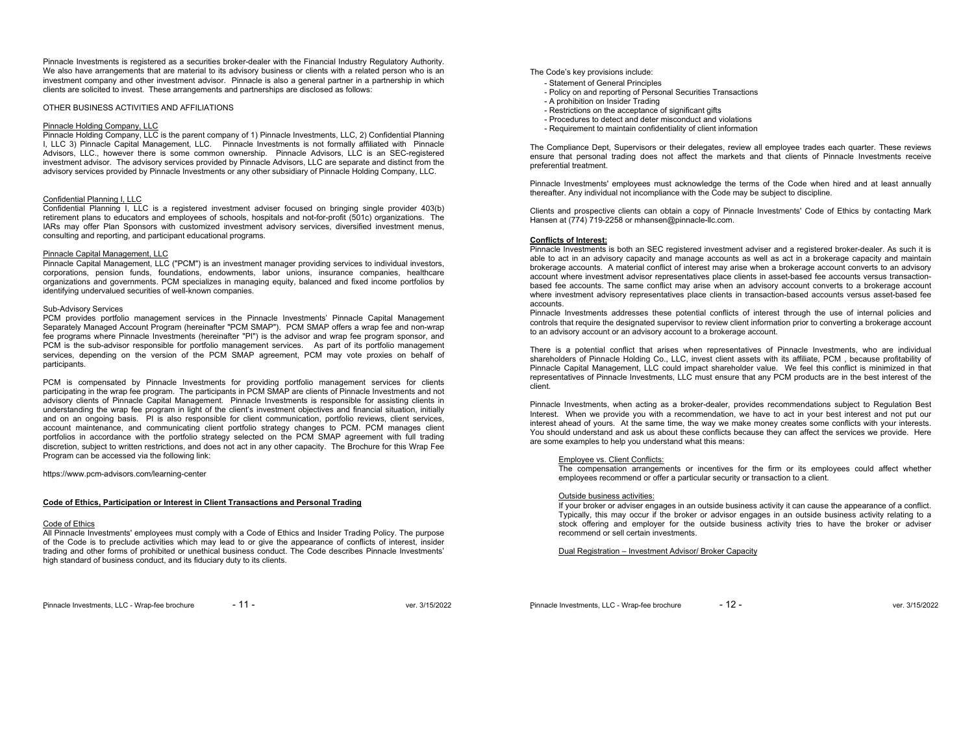Pinnacle Investments is registered as a securities broker-dealer with the Financial Industry Regulatory Authority. We also have arrangements that are material to its advisory business or clients with a related person who is an investment company and other investment advisor. Pinnacle is also a general partner in a partnership in which clients are solicited to invest. These arrangements and partnerships are disclosed as follows:

#### OTHER BUSINESS ACTIVITIES AND AFFILIATIONS

## Pinnacle Holding Company, LLC

Pinnacle Holding Company, LLC is the parent company of 1) Pinnacle Investments, LLC, 2) Confidential Planning I, LLC 3) Pinnacle Capital Management, LLC. Pinnacle Investments is not formally affiliated with Pinnacle Advisors, LLC., however there is some common ownership. Pinnacle Advisors, LLC is an SEC-registered investment advisor. The advisory services provided by Pinnacle Advisors, LLC are separate and distinct from the advisory services provided by Pinnacle Investments or any other subsidiary of Pinnacle Holding Company, LLC.

### Confidential Planning I, LLC

Confidential Planning I, LLC is a registered investment adviser focused on bringing single provider 403(b) retirement plans to educators and employees of schools, hospitals and not-for-profit (501c) organizations. The IARs may offer Plan Sponsors with customized investment advisory services, diversified investment menus, consulting and reporting, and participant educational programs.

# Pinnacle Capital Management, LLC

Pinnacle Capital Management, LLC ("PCM") is an investment manager providing services to individual investors, corporations, pension funds, foundations, endowments, labor unions, insurance companies, healthcare organizations and governments. PCM specializes in managing equity, balanced and fixed income portfolios by identifying undervalued securities of well-known companies.

# Sub-Advisory Services

PCM provides portfolio management services in the Pinnacle Investments' Pinnacle Capital Management Separately Managed Account Program (hereinafter "PCM SMAP"). PCM SMAP offers a wrap fee and non-wrap fee programs where Pinnacle Investments (hereinafter "PI") is the advisor and wrap fee program sponsor, and PCM is the sub-advisor responsible for portfolio management services. As part of its portfolio management services, depending on the version of the PCM SMAP agreement, PCM may vote proxies on behalf of participants.

PCM is compensated by Pinnacle Investments for providing portfolio management services for clients participating in the wrap fee program. The participants in PCM SMAP are clients of Pinnacle Investments and not advisory clients of Pinnacle Capital Management. Pinnacle Investments is responsible for assisting clients in understanding the wrap fee program in light of the client's investment objectives and financial situation, initially and on an ongoing basis. PI is also responsible for client communication, portfolio reviews, client services, account maintenance, and communicating client portfolio strategy changes to PCM. PCM manages client portfolios in accordance with the portfolio strategy selected on the PCM SMAP agreement with full trading discretion, subject to written restrictions, and does not act in any other capacity. The Brochure for this Wrap Fee Program can be accessed via the following link:

https://www.pcm-advisors.com/learning-center

# **Code of Ethics, Participation or Interest in Client Transactions and Personal Trading**

#### Code of Ethics

 All Pinnacle Investments' employees must comply with a Code of Ethics and Insider Trading Policy. The purpose of the Code is to preclude activities which may lead to or give the appearance of conflicts of interest, insider trading and other forms of prohibited or unethical business conduct. The Code describes Pinnacle Investments' high standard of business conduct, and its fiduciary duty to its clients.

Pinnacle Investments, LLC - Wrap-fee brochure - 11 - ver. 3/15/2022

The Code's key provisions include:

- Statement of General Principles
- Policy on and reporting of Personal Securities Transactions
- A prohibition on Insider Trading
- Restrictions on the acceptance of significant gifts
- Procedures to detect and deter misconduct and violations
- Requirement to maintain confidentiality of client information

The Compliance Dept, Supervisors or their delegates, review all employee trades each quarter. These reviews ensure that personal trading does not affect the markets and that clients of Pinnacle Investments receive preferential treatment.

Pinnacle Investments' employees must acknowledge the terms of the Code when hired and at least annually thereafter. Any individual not incompliance with the Code may be subject to discipline.

Clients and prospective clients can obtain a copy of Pinnacle Investments' Code of Ethics by contacting Mark Hansen at (774) 719-2258 or mhansen@pinnacle-llc.com.

# **Conflicts of Interest:**

 Pinnacle Investments is both an SEC registered investment adviser and a registered broker-dealer. As such it is able to act in an advisory capacity and manage accounts as well as act in a brokerage capacity and maintain brokerage accounts. A material conflict of interest may arise when a brokerage account converts to an advisory account where investment advisor representatives place clients in asset-based fee accounts versus transactionbased fee accounts. The same conflict may arise when an advisory account converts to a brokerage account where investment advisory representatives place clients in transaction-based accounts versus asset-based fee accounts.

 Pinnacle Investments addresses these potential conflicts of interest through the use of internal policies and controls that require the designated supervisor to review client information prior to converting a brokerage account to an advisory account or an advisory account to a brokerage account.

There is a potential conflict that arises when representatives of Pinnacle Investments, who are individual shareholders of Pinnacle Holding Co., LLC, invest client assets with its affiliate, PCM , because profitability of Pinnacle Capital Management, LLC could impact shareholder value. We feel this conflict is minimized in that representatives of Pinnacle Investments, LLC must ensure that any PCM products are in the best interest of the client.

Pinnacle Investments, when acting as a broker-dealer, provides recommendations subject to Regulation Best Interest. When we provide you with a recommendation, we have to act in your best interest and not put our interest ahead of yours. At the same time, the way we make money creates some conflicts with your interests. You should understand and ask us about these conflicts because they can affect the services we provide. Here are some examples to help you understand what this means:

# Employee vs. Client Conflicts:

The compensation arrangements or incentives for the firm or its employees could affect whether employees recommend or offer a particular security or transaction to a client.

#### Outside business activities:

 If your broker or adviser engages in an outside business activity it can cause the appearance of a conflict. Typically, this may occur if the broker or advisor engages in an outside business activity relating to a stock offering and employer for the outside business activity tries to have the broker or adviser recommend or sell certain investments.

Dual Registration – Investment Advisor/ Broker Capacity

Pinnacle Investments, LLC - Wrap-fee brochure - 12 - ver. 3/15/2022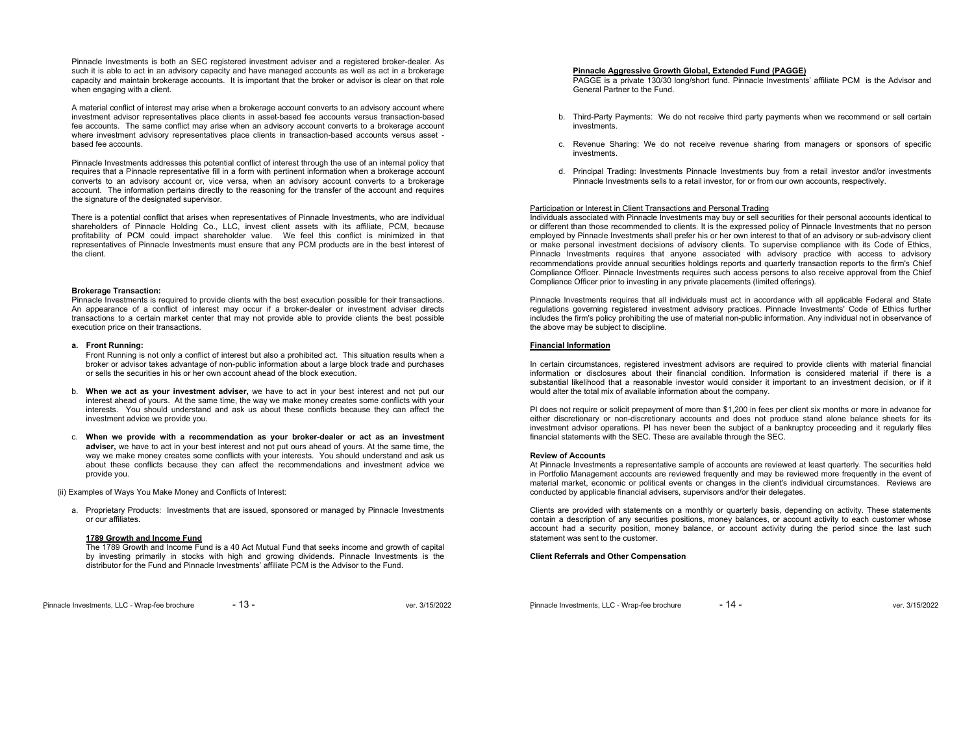Pinnacle Investments is both an SEC registered investment adviser and a registered broker-dealer. As such it is able to act in an advisory capacity and have managed accounts as well as act in a brokerage capacity and maintain brokerage accounts. It is important that the broker or advisor is clear on that role when engaging with a client.

A material conflict of interest may arise when a brokerage account converts to an advisory account where investment advisor representatives place clients in asset-based fee accounts versus transaction-based fee accounts. The same conflict may arise when an advisory account converts to a brokerage account where investment advisory representatives place clients in transaction-based accounts versus asset based fee accounts.

Pinnacle Investments addresses this potential conflict of interest through the use of an internal policy that requires that a Pinnacle representative fill in a form with pertinent information when a brokerage account converts to an advisory account or, vice versa, when an advisory account converts to a brokerage account. The information pertains directly to the reasoning for the transfer of the account and requires the signature of the designated supervisor.

There is a potential conflict that arises when representatives of Pinnacle Investments, who are individual shareholders of Pinnacle Holding Co., LLC, invest client assets with its affiliate, PCM, because profitability of PCM could impact shareholder value. We feel this conflict is minimized in that representatives of Pinnacle Investments must ensure that any PCM products are in the best interest of the client.

#### **Brokerage Transaction:**

Pinnacle Investments is required to provide clients with the best execution possible for their transactions. An appearance of a conflict of interest may occur if a broker-dealer or investment adviser directs transactions to a certain market center that may not provide able to provide clients the best possible execution price on their transactions.

#### **a. Front Running:**

Front Running is not only a conflict of interest but also a prohibited act. This situation results when a broker or advisor takes advantage of non-public information about a large block trade and purchases or sells the securities in his or her own account ahead of the block execution.

- b. **When we act as your investment adviser,** we have to act in your best interest and not put our interest ahead of yours. At the same time, the way we make money creates some conflicts with your interests. You should understand and ask us about these conflicts because they can affect the investment advice we provide you.
- c. **When we provide with a recommendation as your broker-dealer or act as an investment adviser,** we have to act in your best interest and not put ours ahead of yours. At the same time, the way we make money creates some conflicts with your interests. You should understand and ask us about these conflicts because they can affect the recommendations and investment advice we provide you.

(ii) Examples of Ways You Make Money and Conflicts of Interest:

a. Proprietary Products: Investments that are issued, sponsored or managed by Pinnacle Investments or our affiliates.

### **1789 Growth and Income Fund**

 The 1789 Growth and Income Fund is a 40 Act Mutual Fund that seeks income and growth of capital by investing primarily in stocks with high and growing dividends. Pinnacle Investments is the distributor for the Fund and Pinnacle Investments' affiliate PCM is the Advisor to the Fund.

Pinnacle Investments, LLC - Wrap-fee brochure - 13 - ver. 3/15/2022

**Pinnacle Aggressive Growth Global, Extended Fund (PAGGE)** 

PAGGE is a private 130/30 long/short fund. Pinnacle Investments' affiliate PCM is the Advisor and General Partner to the Fund.

- b. Third-Party Payments: We do not receive third party payments when we recommend or sell certain investments.
- c. Revenue Sharing: We do not receive revenue sharing from managers or sponsors of specific investments.
- d. Principal Trading: Investments Pinnacle Investments buy from a retail investor and/or investments Pinnacle Investments sells to a retail investor, for or from our own accounts, respectively.

# Participation or Interest in Client Transactions and Personal Trading

Individuals associated with Pinnacle Investments may buy or sell securities for their personal accounts identical to or different than those recommended to clients. It is the expressed policy of Pinnacle Investments that no person employed by Pinnacle Investments shall prefer his or her own interest to that of an advisory or sub-advisory client or make personal investment decisions of advisory clients. To supervise compliance with its Code of Ethics, Pinnacle Investments requires that anyone associated with advisory practice with access to advisory recommendations provide annual securities holdings reports and quarterly transaction reports to the firm's Chief Compliance Officer. Pinnacle Investments requires such access persons to also receive approval from the Chief Compliance Officer prior to investing in any private placements (limited offerings).

Pinnacle Investments requires that all individuals must act in accordance with all applicable Federal and State regulations governing registered investment advisory practices. Pinnacle Investments' Code of Ethics further includes the firm's policy prohibiting the use of material non-public information. Any individual not in observance of the above may be subject to discipline.

#### **Financial Information**

In certain circumstances, registered investment advisors are required to provide clients with material financial information or disclosures about their financial condition. Information is considered material if there is a substantial likelihood that a reasonable investor would consider it important to an investment decision, or if it would alter the total mix of available information about the company.

PI does not require or solicit prepayment of more than \$1,200 in fees per client six months or more in advance for either discretionary or non-discretionary accounts and does not produce stand alone balance sheets for its investment advisor operations. PI has never been the subject of a bankruptcy proceeding and it regularly files financial statements with the SEC. These are available through the SEC.

#### **Review of Accounts**

 At Pinnacle Investments a representative sample of accounts are reviewed at least quarterly. The securities held in Portfolio Management accounts are reviewed frequently and may be reviewed more frequently in the event of material market, economic or political events or changes in the client's individual circumstances. Reviews are conducted by applicable financial advisers, supervisors and/or their delegates.

Clients are provided with statements on a monthly or quarterly basis, depending on activity. These statements contain a description of any securities positions, money balances, or account activity to each customer whose account had a security position, money balance, or account activity during the period since the last such statement was sent to the customer.

#### **Client Referrals and Other Compensation**

Pinnacle Investments, LLC - Wrap-fee brochure - 14 - ver. 3/15/2022